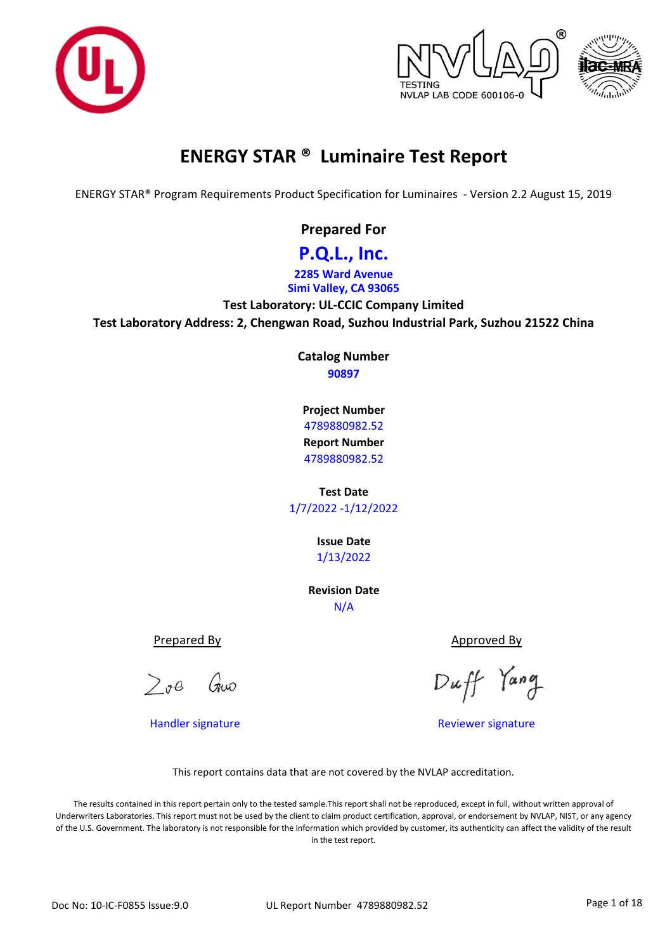





# **ENERGY STAR ® Luminaire Test Report**

ENERGY STAR® Program Requirements Product Specification for Luminaires - Version 2.2 August 15, 2019

**Prepared For** 

# **P.Q.L., Inc.**

**2285 Ward Avenue Simi Valley, CA 93065**

**Test Laboratory: UL-CCIC Company Limited Test Laboratory Address: 2, Chengwan Road, Suzhou Industrial Park, Suzhou 21522 China**

> **Catalog Number 90897**

**Project Number** 4789880982.52 **Report Number** 4789880982.52

**Test Date** 1/7/2022 -1/12/2022

> 1/13/2022 **Issue Date**

**Revision Date** N/A

Prepared By

 $>$  or  $\theta$ 

Approved By

Yang

Handler signature **Reviewer signature** Reviewer signature

This report contains data that are not covered by the NVLAP accreditation.

The results contained in this report pertain only to the tested sample.This report shall not be reproduced, except in full, without written approval of Underwriters Laboratories. This report must not be used by the client to claim product certification, approval, or endorsement by NVLAP, NIST, or any agency of the U.S. Government. The laboratory is not responsible for the information which provided by customer, its authenticity can affect the validity of the result in the test report.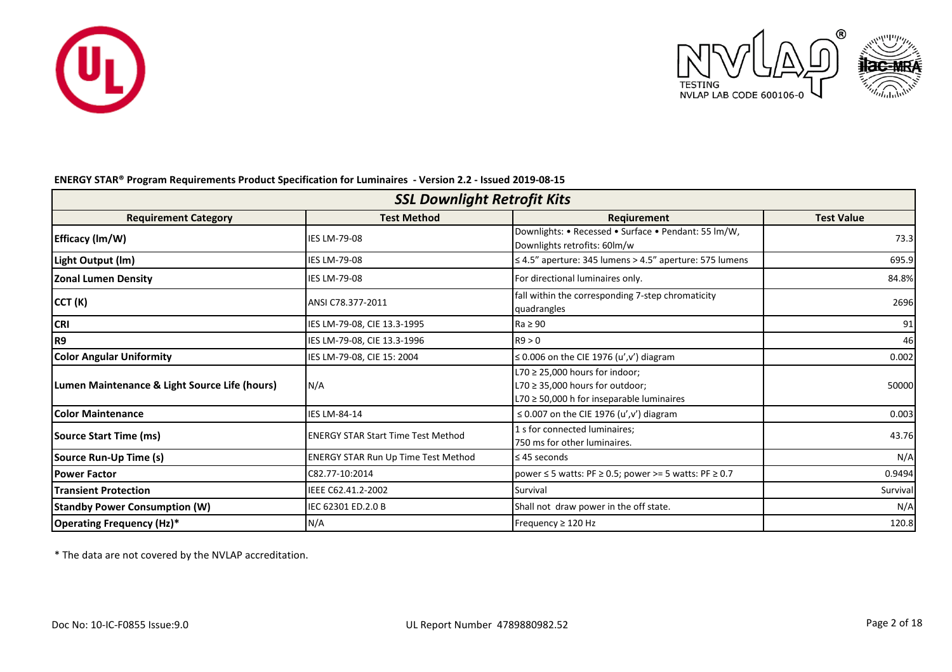



#### **ENERGY STAR® Program Requirements Product Specification for Luminaires - Version 2.2 - Issued 2019-08-15**

| <b>SSL Downlight Retrofit Kits</b>            |                                            |                                                                                                                               |                   |  |  |  |  |
|-----------------------------------------------|--------------------------------------------|-------------------------------------------------------------------------------------------------------------------------------|-------------------|--|--|--|--|
| <b>Requirement Category</b>                   | <b>Test Method</b>                         | Regiurement                                                                                                                   | <b>Test Value</b> |  |  |  |  |
| Efficacy (Im/W)                               | <b>IES LM-79-08</b>                        | Downlights: • Recessed • Surface • Pendant: 55 lm/W,<br>Downlights retrofits: 60lm/w                                          | 73.3              |  |  |  |  |
| Light Output (Im)                             | <b>IES LM-79-08</b>                        | $\leq$ 4.5" aperture: 345 lumens > 4.5" aperture: 575 lumens                                                                  | 695.9             |  |  |  |  |
| <b>Zonal Lumen Density</b>                    | <b>IES LM-79-08</b>                        | For directional luminaires only.                                                                                              | 84.8%             |  |  |  |  |
| CCT (K)                                       | ANSI C78.377-2011                          | fall within the corresponding 7-step chromaticity<br>quadrangles                                                              | 2696              |  |  |  |  |
| <b>CRI</b>                                    | IES LM-79-08, CIE 13.3-1995                | $Ra \geq 90$                                                                                                                  | 91                |  |  |  |  |
| R9                                            | IES LM-79-08, CIE 13.3-1996                | R9 > 0                                                                                                                        | 46                |  |  |  |  |
| <b>Color Angular Uniformity</b>               | IES LM-79-08, CIE 15: 2004                 | $\leq$ 0.006 on the CIE 1976 (u',v') diagram                                                                                  | 0.002             |  |  |  |  |
| Lumen Maintenance & Light Source Life (hours) | N/A                                        | $L70 \geq 25,000$ hours for indoor;<br>L70 $\geq$ 35,000 hours for outdoor;<br>$L70 \geq 50,000$ h for inseparable luminaires | 50000             |  |  |  |  |
| lColor Maintenance                            | <b>IES LM-84-14</b>                        | $\leq$ 0.007 on the CIE 1976 (u',v') diagram                                                                                  | 0.003             |  |  |  |  |
| <b>Source Start Time (ms)</b>                 | <b>ENERGY STAR Start Time Test Method</b>  | 1 s for connected luminaires;<br>750 ms for other luminaires.                                                                 | 43.76             |  |  |  |  |
| Source Run-Up Time (s)                        | <b>ENERGY STAR Run Up Time Test Method</b> | $\leq$ 45 seconds                                                                                                             | N/A               |  |  |  |  |
| <b>IPower Factor</b>                          | C82.77-10:2014                             | power ≤ 5 watts: PF ≥ 0.5; power >= 5 watts: PF ≥ 0.7                                                                         | 0.9494            |  |  |  |  |
| <b>Transient Protection</b>                   | IEEE C62.41.2-2002                         | <b>Survival</b>                                                                                                               | Survival          |  |  |  |  |
| <b>Standby Power Consumption (W)</b>          | IEC 62301 ED.2.0 B                         | Shall not draw power in the off state.                                                                                        | N/A               |  |  |  |  |
| Operating Frequency (Hz)*                     | N/A                                        | Frequency $\geq$ 120 Hz                                                                                                       | 120.8             |  |  |  |  |

\* The data are not covered by the NVLAP accreditation.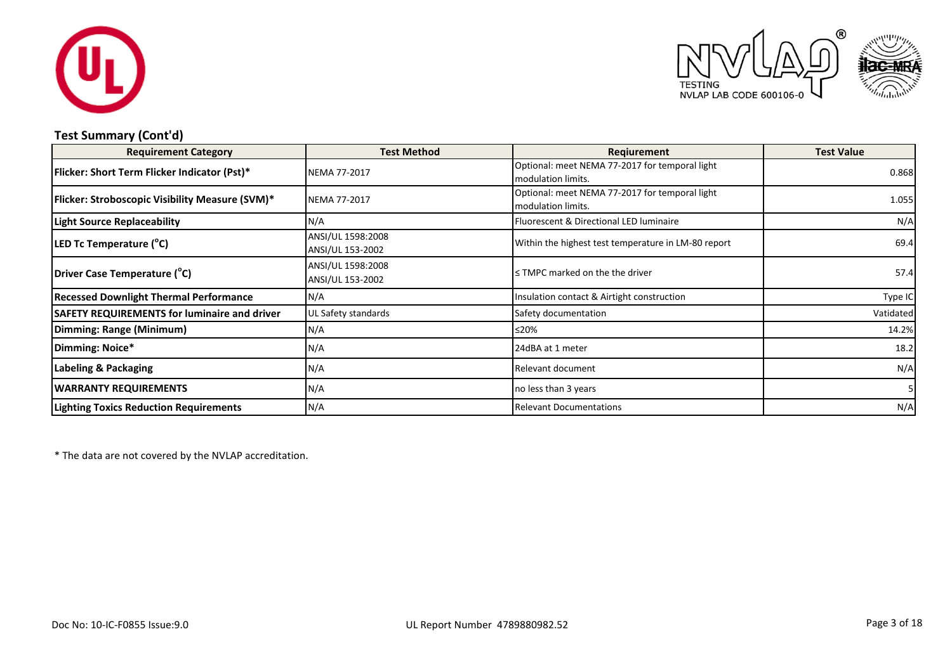



# **Test Summary (Cont'd)**

| <b>Requirement Category</b>                            | <b>Test Method</b>                    | Regiurement                                                          | <b>Test Value</b> |
|--------------------------------------------------------|---------------------------------------|----------------------------------------------------------------------|-------------------|
| <b>Flicker: Short Term Flicker Indicator (Pst)*</b>    | NEMA 77-2017                          | Optional: meet NEMA 77-2017 for temporal light<br>modulation limits. | 0.868             |
| <b>Flicker: Stroboscopic Visibility Measure (SVM)*</b> | NEMA 77-2017                          | Optional: meet NEMA 77-2017 for temporal light<br>modulation limits. | 1.055             |
| <b>Light Source Replaceability</b>                     | N/A                                   | Fluorescent & Directional LED luminaire                              | N/A               |
| LED Tc Temperature ( <sup>°</sup> C)                   | ANSI/UL 1598:2008<br>ANSI/UL 153-2002 | Within the highest test temperature in LM-80 report                  | 69.4              |
| Driver Case Temperature (°C)                           | ANSI/UL 1598:2008<br>ANSI/UL 153-2002 | $\leq$ TMPC marked on the the driver                                 | 57.4              |
| <b>Recessed Downlight Thermal Performance</b>          | N/A                                   | Insulation contact & Airtight construction                           | Type IC           |
| <b>SAFETY REQUIREMENTS for luminaire and driver</b>    | UL Safety standards                   | Safety documentation                                                 | Vatidated         |
| <b>Dimming: Range (Minimum)</b>                        | N/A                                   | ≤20%                                                                 | 14.2%             |
| Dimming: Noice*                                        | N/A                                   | 24dBA at 1 meter                                                     | 18.2              |
| Labeling & Packaging                                   | N/A                                   | Relevant document                                                    | N/A               |
| <b>WARRANTY REQUIREMENTS</b>                           | N/A                                   | no less than 3 years                                                 |                   |
| <b>Lighting Toxics Reduction Requirements</b>          | N/A                                   | <b>Relevant Documentations</b>                                       | N/A               |

\* The data are not covered by the NVLAP accreditation.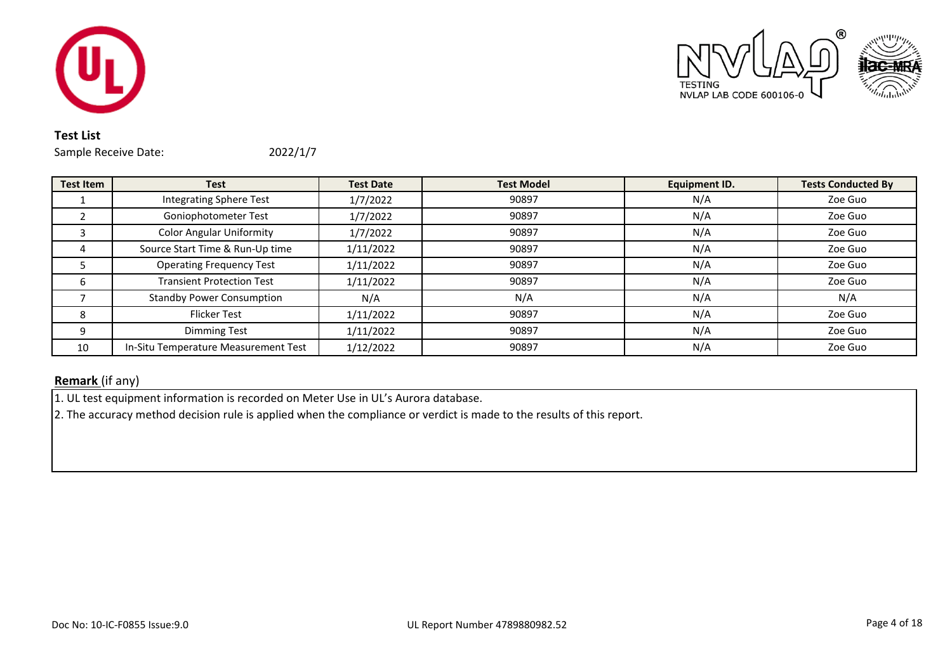

![](_page_3_Picture_1.jpeg)

#### **Test List**

Sample Receive Date: 2022/1/7

| <b>Test Item</b> | Test                                 | <b>Test Date</b> | <b>Test Model</b> | <b>Equipment ID.</b> | <b>Tests Conducted By</b> |
|------------------|--------------------------------------|------------------|-------------------|----------------------|---------------------------|
|                  | <b>Integrating Sphere Test</b>       | 1/7/2022         | 90897             | N/A                  | Zoe Guo                   |
|                  | Goniophotometer Test                 | 1/7/2022         | 90897             | N/A                  | Zoe Guo                   |
| 3                | <b>Color Angular Uniformity</b>      | 1/7/2022         | 90897             | N/A                  | Zoe Guo                   |
| 4                | Source Start Time & Run-Up time      | 1/11/2022        | 90897             | N/A                  | Zoe Guo                   |
|                  | <b>Operating Frequency Test</b>      | 1/11/2022        | 90897             | N/A                  | Zoe Guo                   |
| 6                | <b>Transient Protection Test</b>     | 1/11/2022        | 90897             | N/A                  | Zoe Guo                   |
|                  | <b>Standby Power Consumption</b>     | N/A              | N/A               | N/A                  | N/A                       |
| 8                | <b>Flicker Test</b>                  | 1/11/2022        | 90897             | N/A                  | Zoe Guo                   |
| 9                | <b>Dimming Test</b>                  | 1/11/2022        | 90897             | N/A                  | Zoe Guo                   |
| 10               | In-Situ Temperature Measurement Test | 1/12/2022        | 90897             | N/A                  | Zoe Guo                   |

# **Remark** (if any)

1. UL test equipment information is recorded on Meter Use in UL's Aurora database.

2. The accuracy method decision rule is applied when the compliance or verdict is made to the results of this report.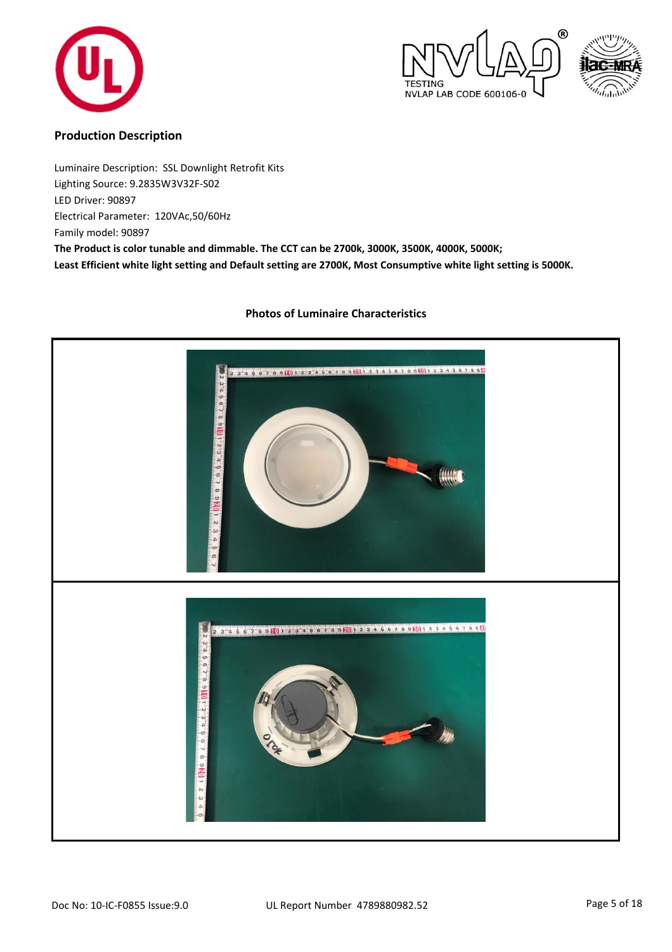![](_page_4_Picture_0.jpeg)

![](_page_4_Picture_1.jpeg)

![](_page_4_Picture_2.jpeg)

#### **Production Description**

Luminaire Description: SSL Downlight Retrofit Kits Lighting Source: 9.2835W3V32F-S02

LED Driver: 90897

Electrical Parameter: 120VAc,50/60Hz

Family model: 90897

**The Product is color tunable and dimmable. The CCT can be 2700k, 3000K, 3500K, 4000K, 5000K;**

**Least Efficient white light setting and Default setting are 2700K, Most Consumptive white light setting is 5000K.** 

![](_page_4_Picture_10.jpeg)

#### **Photos of Luminaire Characteristics**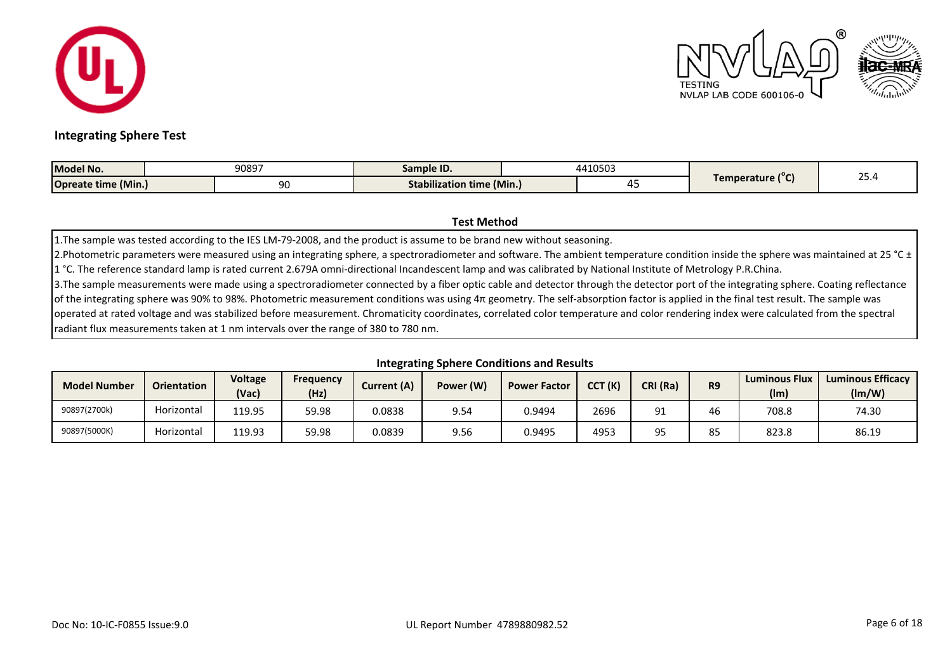![](_page_5_Picture_0.jpeg)

![](_page_5_Picture_1.jpeg)

#### **Integrating Sphere Test**

| Model No.                  | 90897 | Sample ID.                            | 1110502<br>4410505 | $10 -$               | $\sim$ $-$ |
|----------------------------|-------|---------------------------------------|--------------------|----------------------|------------|
| <b>Opreate time (Min.)</b> | JU.   | .<br><b>Stabilization time (Min.)</b> | . .                | <b>Temperature (</b> | -. ت       |

#### **Test Method**

1.The sample was tested according to the IES LM-79-2008, and the product is assume to be brand new without seasoning.

2.Photometric parameters were measured using an integrating sphere, a spectroradiometer and software. The ambient temperature condition inside the sphere was maintained at 25 °C ± 1 °C. The reference standard lamp is rated current 2.679A omni-directional Incandescent lamp and was calibrated by National Institute of Metrology P.R.China.

3. The sample measurements were made using a spectroradiometer connected by a fiber optic cable and detector through the detector port of the integrating sphere. Coating reflectance

of the integrating sphere was 90% to 98%. Photometric measurement conditions was using 4π geometry. The self-absorption factor is applied in the final test result. The sample was operated at rated voltage and was stabilized before measurement. Chromaticity coordinates, correlated color temperature and color rendering index were calculated from the spectral radiant flux measurements taken at 1 nm intervals over the range of 380 to 780 nm.

| <b>Model Number</b> | <b>Orientation</b> | <b>Voltage</b><br>(Vac) | <b>Frequency</b><br>(Hz) | Current (A) | Power (W) | <b>Power Factor</b> | CCT (K) | CRI (Ra)         | R <sub>9</sub>   | <b>Luminous Flux</b><br>(lm) | <b>Luminous Efficacy</b><br>(lm/W) |
|---------------------|--------------------|-------------------------|--------------------------|-------------|-----------|---------------------|---------|------------------|------------------|------------------------------|------------------------------------|
| 90897(2700k)        | Horizontal         | 119.95                  | 59.98                    | 0.0838      | 9.54      | 0.9494              | 2696    | $^{\Omega}$<br>╯ | $\sim$           | 708.8                        | 74.30                              |
| 90897(5000K)        | Horizontal         | 119.93                  | 59.98                    | 0.0839      | 9.56      | 0.9495              | 4953    | 95               | $\sim$ $-$<br>83 | 823.8                        | 86.19                              |

#### **Integrating Sphere Conditions and Results**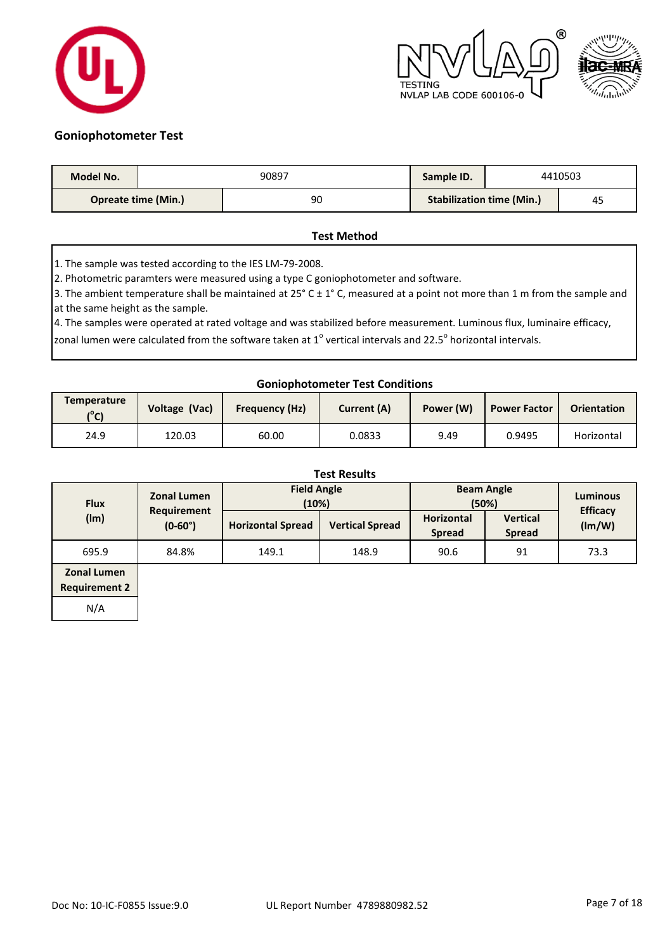![](_page_6_Picture_0.jpeg)

![](_page_6_Picture_1.jpeg)

![](_page_6_Picture_2.jpeg)

#### **Goniophotometer Test**

| <b>Model No.</b> |                            | 90897 | Sample ID.                       | 4410503 |
|------------------|----------------------------|-------|----------------------------------|---------|
|                  | <b>Opreate time (Min.)</b> | 90    | <b>Stabilization time (Min.)</b> | 45      |

#### **Test Method**

1. The sample was tested according to the IES LM-79-2008.

2. Photometric paramters were measured using a type C goniophotometer and software.

3. The ambient temperature shall be maintained at 25° C  $\pm$  1° C, measured at a point not more than 1 m from the sample and at the same height as the sample.

4. The samples were operated at rated voltage and was stabilized before measurement. Luminous flux, luminaire efficacy,

zonal lumen were calculated from the software taken at  $1^{\circ}$  vertical intervals and 22.5 $^{\circ}$  horizontal intervals.

#### **Goniophotometer Test Conditions**

| <b>Temperature</b><br>$(^{\circ}C)$ | Voltage (Vac) | <b>Frequency (Hz)</b> | Current (A) | Power (W) | <b>Power Factor</b> | <b>Orientation</b> |
|-------------------------------------|---------------|-----------------------|-------------|-----------|---------------------|--------------------|
| 24.9                                | 120.03        | 60.00                 | 0.0833      | 9.49      | 0.9495              | Horizontal         |

| <b>Test Results</b>                        |                                 |                             |                        |                                    |                                  |                           |  |  |  |
|--------------------------------------------|---------------------------------|-----------------------------|------------------------|------------------------------------|----------------------------------|---------------------------|--|--|--|
| <b>Flux</b>                                | <b>Zonal Lumen</b>              | <b>Field Angle</b><br>(10%) |                        | <b>Beam Angle</b><br>(50%)         | <b>Luminous</b>                  |                           |  |  |  |
| (lm)                                       | Requirement<br>$(0-60^{\circ})$ | <b>Horizontal Spread</b>    | <b>Vertical Spread</b> | <b>Horizontal</b><br><b>Spread</b> | <b>Vertical</b><br><b>Spread</b> | <b>Efficacy</b><br>(lm/W) |  |  |  |
| 695.9                                      | 84.8%                           | 149.1                       | 148.9                  | 90.6                               | 91                               | 73.3                      |  |  |  |
| <b>Zonal Lumen</b><br><b>Requirement 2</b> |                                 |                             |                        |                                    |                                  |                           |  |  |  |

N/A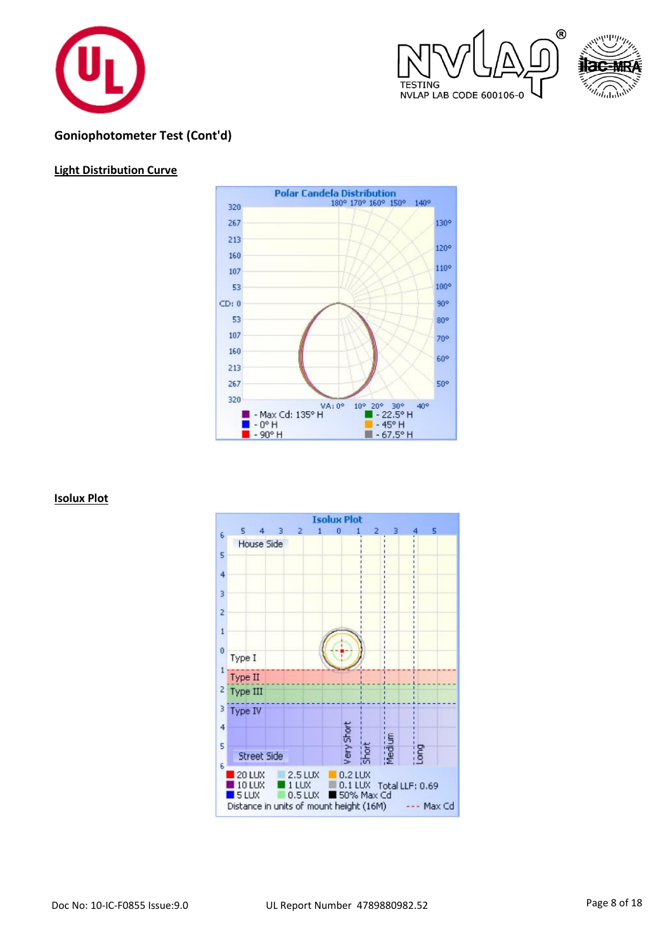![](_page_7_Picture_0.jpeg)

![](_page_7_Picture_1.jpeg)

![](_page_7_Picture_2.jpeg)

# **Goniophotometer Test (Cont'd)**

#### **Light Distribution Curve**

![](_page_7_Figure_5.jpeg)

#### **Isolux Plot**

![](_page_7_Figure_7.jpeg)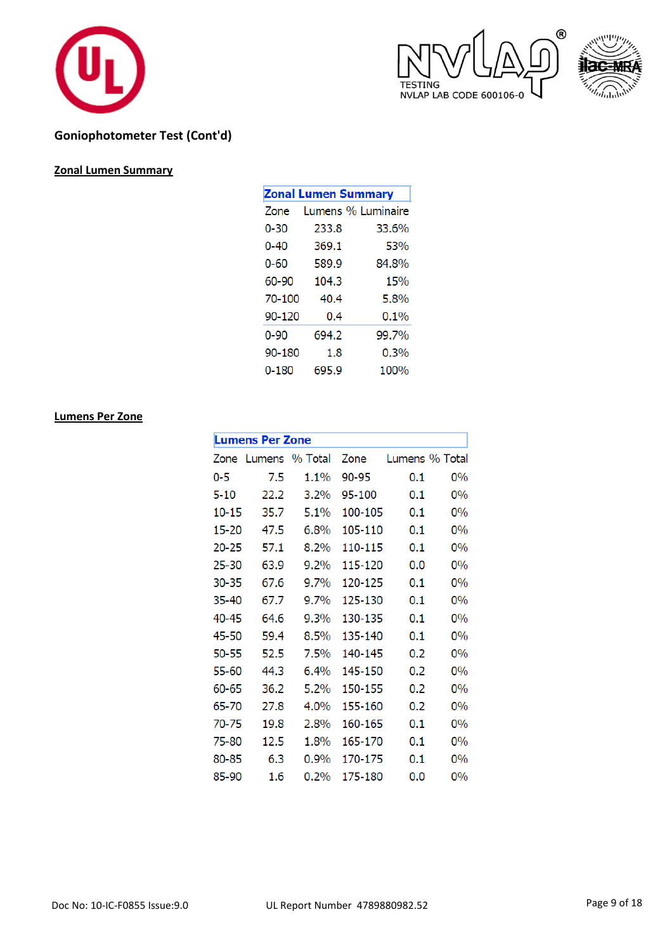![](_page_8_Picture_0.jpeg)

![](_page_8_Picture_1.jpeg)

![](_page_8_Picture_2.jpeg)

# **Goniophotometer Test (Cont'd)**

# **Zonal Lumen Summary**

| <b>Zonal Lumen Summary</b> |       |                    |  |  |  |  |  |  |
|----------------------------|-------|--------------------|--|--|--|--|--|--|
| Zone                       |       | Lumens % Luminaire |  |  |  |  |  |  |
| 0-30                       | 233.8 | 33.6%              |  |  |  |  |  |  |
| $0 - 40$                   | 369.1 | 53%                |  |  |  |  |  |  |
| 0-60                       | 589.9 | 84.8%              |  |  |  |  |  |  |
| 60-90                      | 104.3 | 15%                |  |  |  |  |  |  |
| 70-100                     | 40.4  | 5.8%               |  |  |  |  |  |  |
| 90-120                     | 0.4   | $0.1\%$            |  |  |  |  |  |  |
| 0-90                       | 694.2 | 99.7%              |  |  |  |  |  |  |
| 90-180                     | 1.8   | $0.3\%$            |  |  |  |  |  |  |
| 0-180                      | 695.9 | 100%               |  |  |  |  |  |  |

#### **Lumens Per Zone**

|           | <b>Lumens Per Zone</b> |                |         |     |                |  |  |  |  |
|-----------|------------------------|----------------|---------|-----|----------------|--|--|--|--|
| Zone      |                        | Lumens % Total | Zone    |     | Lumens % Total |  |  |  |  |
| 0-5       | 7.5                    | $1.1\%$        | 90-95   | 0.1 | $0\%$          |  |  |  |  |
| $5 - 10$  | 22.2                   | 3.2%           | 95-100  | 0.1 | 0%             |  |  |  |  |
| $10 - 15$ | 35.7                   | 5.1%           | 100-105 | 0.1 | $0\%$          |  |  |  |  |
| 15-20     | 47.5                   | $6.8\%$        | 105-110 | 0.1 | 0%             |  |  |  |  |
| 20-25     | 57.1                   | 8.2%           | 110-115 | 0.1 | $0\%$          |  |  |  |  |
| 25-30     | 63.9                   | $9.2\%$        | 115-120 | 0.0 | 0%             |  |  |  |  |
| 30-35     | 67.6                   | $9.7\%$        | 120-125 | 0.1 | $0\%$          |  |  |  |  |
| 35-40     | 67.7                   | 9.7%           | 125-130 | 0.1 | 0%             |  |  |  |  |
| 40-45     | 64.6                   | $9.3\%$        | 130-135 | 0.1 | $0\%$          |  |  |  |  |
| 45-50     | 59.4                   | 8.5%           | 135-140 | 0.1 | 0%             |  |  |  |  |
| 50-55     | 52.5                   | 7.5%           | 140-145 | 0.2 | $0\%$          |  |  |  |  |
| 55-60     | 44.3                   | 6.4%           | 145-150 | 0.2 | 0%             |  |  |  |  |
| 60-65     | 36.2                   | 5.2%           | 150-155 | 0.2 | $0\%$          |  |  |  |  |
| 65-70     | 27.8                   | $4.0\%$        | 155-160 | 0.2 | 0%             |  |  |  |  |
| 70-75     | 19.8                   | $2.8\%$        | 160-165 | 0.1 | $0\%$          |  |  |  |  |
| 75-80     | 12.5                   | $1.8\%$        | 165-170 | 0.1 | 0%             |  |  |  |  |
| 80-85     | 6.3                    | $0.9\%$        | 170-175 | 0.1 | $0\%$          |  |  |  |  |
| 85-90     | 1.6                    | $0.2\%$        | 175-180 | 0.0 | $0\%$          |  |  |  |  |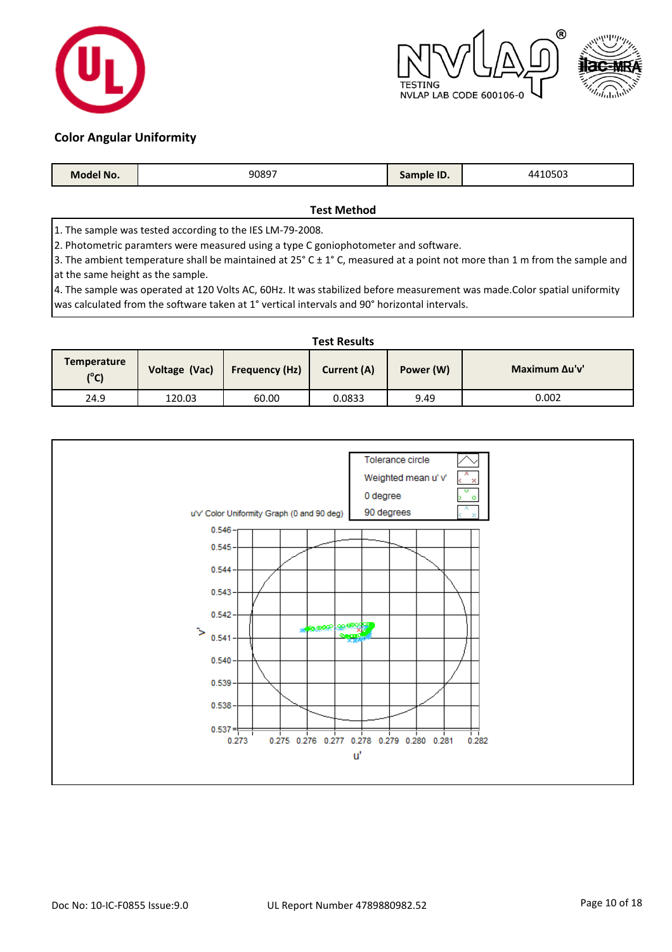![](_page_9_Picture_0.jpeg)

![](_page_9_Picture_1.jpeg)

![](_page_9_Picture_2.jpeg)

#### **Color Angular Uniformity**

| Model No. | 90897 | Sample ID.<br>วam | 4410503<br>. |
|-----------|-------|-------------------|--------------|
|           |       |                   |              |

#### **Test Method**

1. The sample was tested according to the IES LM-79-2008.

2. Photometric paramters were measured using a type C goniophotometer and software.

3. The ambient temperature shall be maintained at  $25^{\circ}$  C  $\pm$  1° C, measured at a point not more than 1 m from the sample and at the same height as the sample.

4. The sample was operated at 120 Volts AC, 60Hz. It was stabilized before measurement was made.Color spatial uniformity was calculated from the software taken at 1° vertical intervals and 90° horizontal intervals.

| <b>Test Results</b>                 |               |                       |             |           |                      |  |  |  |  |
|-------------------------------------|---------------|-----------------------|-------------|-----------|----------------------|--|--|--|--|
| <b>Temperature</b><br>$(^{\circ}C)$ | Voltage (Vac) | <b>Frequency (Hz)</b> | Current (A) | Power (W) | <b>Maximum Au'v'</b> |  |  |  |  |
| 24.9                                | 120.03        | 60.00                 | 0.0833      | 9.49      | 0.002                |  |  |  |  |

![](_page_9_Figure_11.jpeg)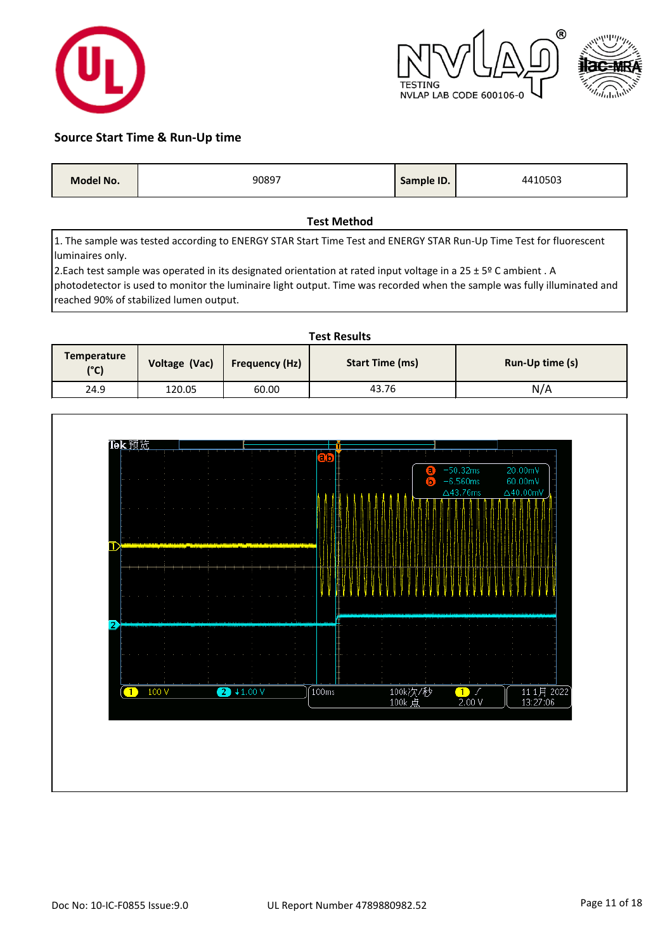![](_page_10_Picture_0.jpeg)

![](_page_10_Picture_1.jpeg)

![](_page_10_Picture_2.jpeg)

#### **Source Start Time & Run-Up time**

|--|

#### **Test Method**

1. The sample was tested according to ENERGY STAR Start Time Test and ENERGY STAR Run-Up Time Test for fluorescent luminaires only.

2.Each test sample was operated in its designated orientation at rated input voltage in a 25 ± 5º C ambient . A photodetector is used to monitor the luminaire light output. Time was recorded when the sample was fully illuminated and reached 90% of stabilized lumen output.

| <b>Test Results</b>        |               |                       |                        |                 |  |  |
|----------------------------|---------------|-----------------------|------------------------|-----------------|--|--|
| <b>Temperature</b><br>(°C) | Voltage (Vac) | <b>Frequency (Hz)</b> | <b>Start Time (ms)</b> | Run-Up time (s) |  |  |
| 24.9                       | 120.05        | 60.00                 | 43.76                  | N/A             |  |  |

![](_page_10_Figure_9.jpeg)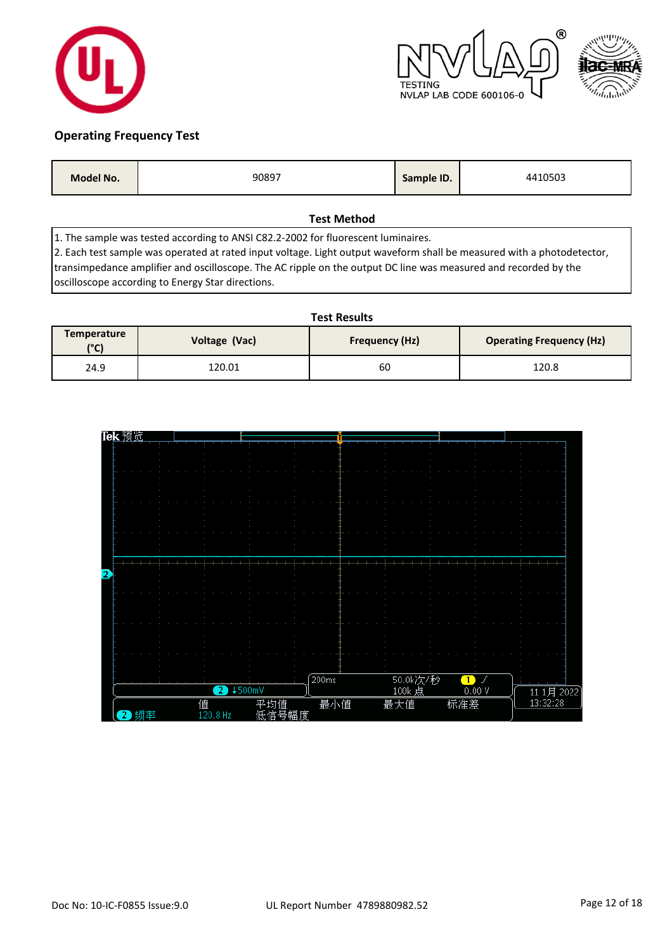![](_page_11_Picture_0.jpeg)

![](_page_11_Picture_1.jpeg)

![](_page_11_Picture_2.jpeg)

# **Operating Frequency Test**

| Model No. | 90897 | Sample ID. | 410503 |
|-----------|-------|------------|--------|
|           |       |            |        |

#### **Test Method**

1. The sample was tested according to ANSI C82.2-2002 for fluorescent luminaires.

2. Each test sample was operated at rated input voltage. Light output waveform shall be measured with a photodetector, transimpedance amplifier and oscilloscope. The AC ripple on the output DC line was measured and recorded by the oscilloscope according to Energy Star directions.

| <b>Test Results</b>        |               |                       |                                 |  |  |  |
|----------------------------|---------------|-----------------------|---------------------------------|--|--|--|
| <b>Temperature</b><br>(°C) | Voltage (Vac) | <b>Frequency (Hz)</b> | <b>Operating Frequency (Hz)</b> |  |  |  |
| 24.9                       | 120.01        | 60                    | 120.8                           |  |  |  |

![](_page_11_Figure_9.jpeg)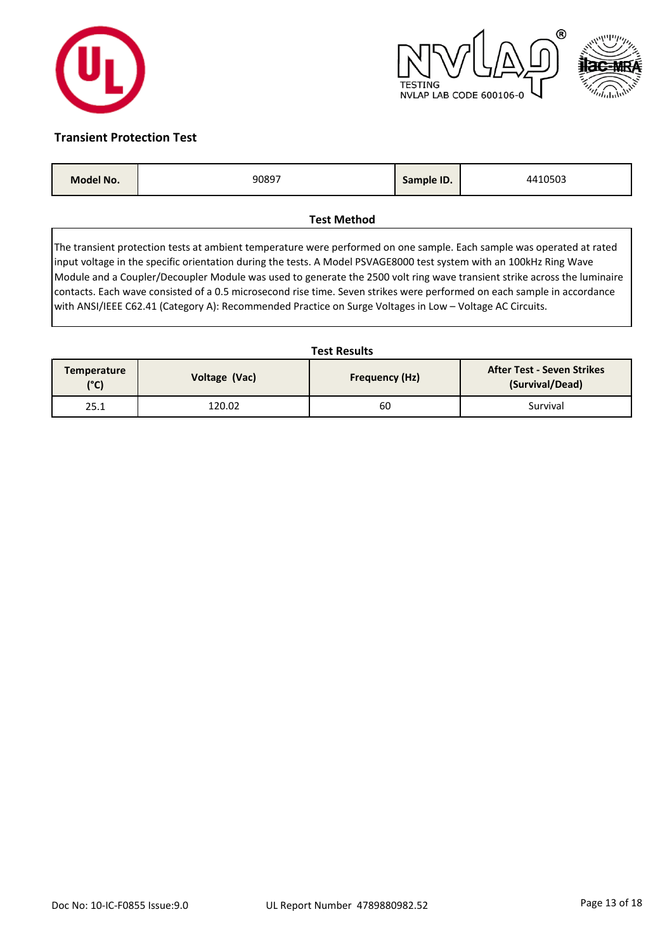![](_page_12_Picture_0.jpeg)

![](_page_12_Picture_1.jpeg)

![](_page_12_Picture_2.jpeg)

#### **Transient Protection Test**

|--|

#### **Test Method**

The transient protection tests at ambient temperature were performed on one sample. Each sample was operated at rated input voltage in the specific orientation during the tests. A Model PSVAGE8000 test system with an 100kHz Ring Wave Module and a Coupler/Decoupler Module was used to generate the 2500 volt ring wave transient strike across the luminaire contacts. Each wave consisted of a 0.5 microsecond rise time. Seven strikes were performed on each sample in accordance with ANSI/IEEE C62.41 (Category A): Recommended Practice on Surge Voltages in Low - Voltage AC Circuits.

#### **Test Results**

| Temperature<br>(°C) | Voltage (Vac) | <b>Frequency (Hz)</b> | <b>After Test - Seven Strikes</b><br>(Survival/Dead) |
|---------------------|---------------|-----------------------|------------------------------------------------------|
| 25.1                | 120.02        | 60                    | Survival                                             |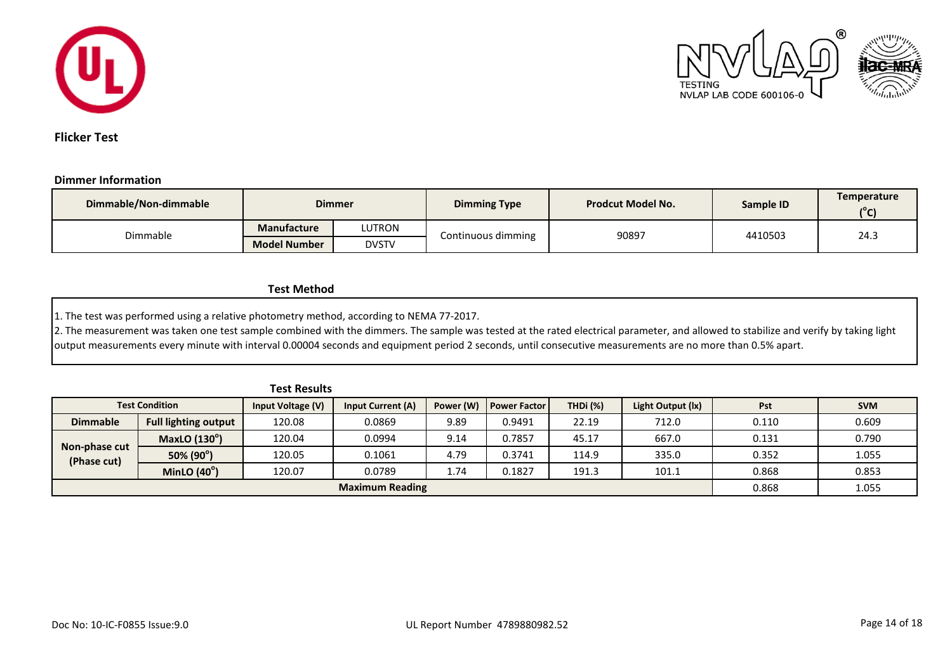![](_page_13_Picture_0.jpeg)

![](_page_13_Picture_1.jpeg)

**Flicker Test**

#### **Dimmer Information**

| Dimmable/Non-dimmable |                     | <b>Dimmer</b> | <b>Dimming Type</b> | <b>Prodcut Model No.</b> | Sample ID | <b>Temperature</b><br>$1^{\circ}$ C |
|-----------------------|---------------------|---------------|---------------------|--------------------------|-----------|-------------------------------------|
| Dimmable              | <b>Manufacture</b>  | LUTRON        |                     | 90897                    | 4410503   | 24.3                                |
|                       | <b>Model Number</b> | <b>DVSTV</b>  | Continuous dimming  |                          |           |                                     |

#### **Test Method**

1. The test was performed using a relative photometry method, according to NEMA 77-2017.

2. The measurement was taken one test sample combined with the dimmers. The sample was tested at the rated electrical parameter, and allowed to stabilize and verify by taking light output measurements every minute with interval 0.00004 seconds and equipment period 2 seconds, until consecutive measurements are no more than 0.5% apart.

| <b>Test Results</b>          |                       |                   |                          |           |                     |                 |                   |       |            |
|------------------------------|-----------------------|-------------------|--------------------------|-----------|---------------------|-----------------|-------------------|-------|------------|
|                              | <b>Test Condition</b> | Input Voltage (V) | <b>Input Current (A)</b> | Power (W) | <b>Power Factor</b> | <b>THDi</b> (%) | Light Output (lx) | Pst   | <b>SVM</b> |
| <b>Dimmable</b>              | Full lighting output  | 120.08            | 0.0869                   | 9.89      | 0.9491              | 22.19           | 712.0             | 0.110 | 0.609      |
|                              | <b>MaxLO</b> (130°)   | 120.04            | 0.0994                   | 9.14      | 0.7857              | 45.17           | 667.0             | 0.131 | 0.790      |
| Non-phase cut<br>(Phase cut) | 50% (90°)             | 120.05            | 0.1061                   | 4.79      | 0.3741              | 114.9           | 335.0             | 0.352 | 1.055      |
|                              | MinLO $(40^{\circ})$  | 120.07            | 0.0789                   | 1.74      | 0.1827              | 191.3           | 101.1             | 0.868 | 0.853      |
| <b>Maximum Reading</b>       |                       |                   |                          |           |                     |                 | 0.868             | 1.055 |            |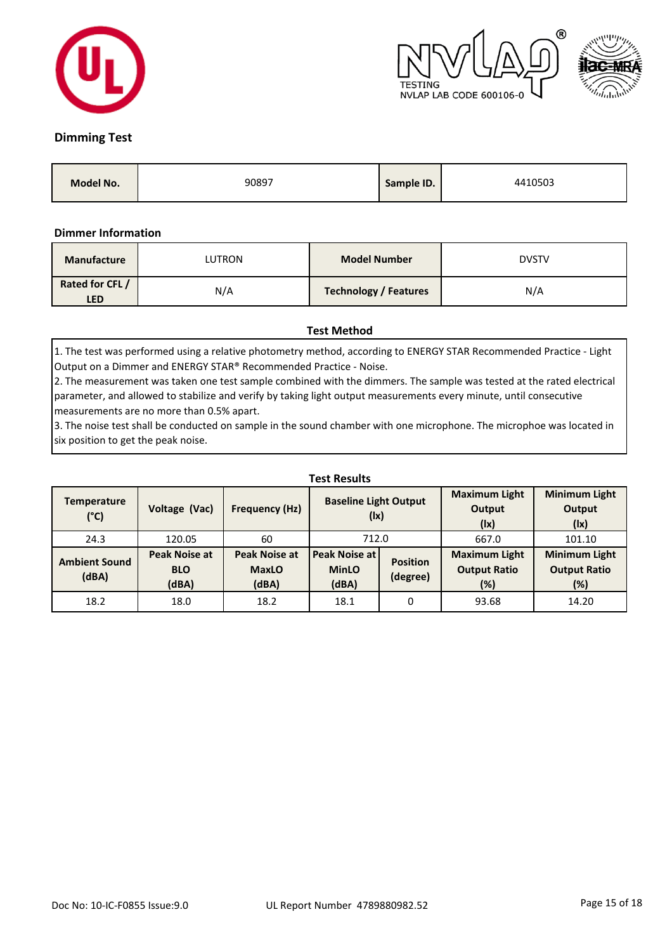![](_page_14_Picture_0.jpeg)

![](_page_14_Picture_1.jpeg)

![](_page_14_Picture_2.jpeg)

### **Dimming Test**

| Model No. | 90897 | Sample ID. | 4410503 |
|-----------|-------|------------|---------|
|-----------|-------|------------|---------|

#### **Dimmer Information**

| <b>Manufacture</b>            | LUTRON | <b>Model Number</b>          | <b>DVSTV</b> |
|-------------------------------|--------|------------------------------|--------------|
| Rated for CFL /<br><b>LED</b> | N/A    | <b>Technology / Features</b> | N/A          |

#### **Test Method**

1. The test was performed using a relative photometry method, according to ENERGY STAR Recommended Practice - Light Output on a Dimmer and ENERGY STAR® Recommended Practice - Noise.

2. The measurement was taken one test sample combined with the dimmers. The sample was tested at the rated electrical parameter, and allowed to stabilize and verify by taking light output measurements every minute, until consecutive measurements are no more than 0.5% apart.

3. The noise test shall be conducted on sample in the sound chamber with one microphone. The microphoe was located in six position to get the peak noise.

| <b>Test Results</b>                 |                                             |                                               |                                        |                             |                                                    |                                                    |  |
|-------------------------------------|---------------------------------------------|-----------------------------------------------|----------------------------------------|-----------------------------|----------------------------------------------------|----------------------------------------------------|--|
| <b>Temperature</b><br>$(^{\circ}C)$ | Voltage (Vac)                               | <b>Frequency (Hz)</b>                         | <b>Baseline Light Output</b><br>(1x)   |                             | <b>Maximum Light</b><br>Output<br>(1x)             | <b>Minimum Light</b><br>Output<br>(1x)             |  |
| 24.3                                | 120.05                                      | 60                                            | 712.0                                  |                             | 667.0                                              | 101.10                                             |  |
| <b>Ambient Sound</b><br>(dBA)       | <b>Peak Noise at</b><br><b>BLO</b><br>(dBA) | <b>Peak Noise at</b><br><b>MaxLO</b><br>(dBA) | Peak Noise at<br><b>MinLO</b><br>(dBA) | <b>Position</b><br>(degree) | <b>Maximum Light</b><br><b>Output Ratio</b><br>(%) | <b>Minimum Light</b><br><b>Output Ratio</b><br>(%) |  |
| 18.2                                | 18.0                                        | 18.2                                          | 18.1                                   | 0                           | 93.68                                              | 14.20                                              |  |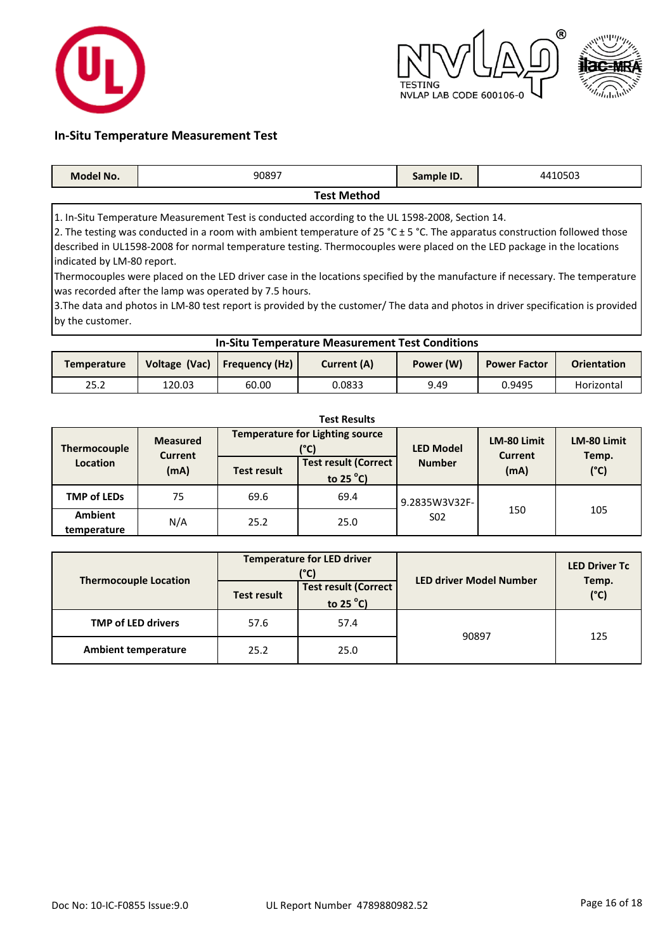![](_page_15_Picture_0.jpeg)

![](_page_15_Picture_1.jpeg)

#### **In-Situ Temperature Measurement Test**

| <b>Model No.</b>   | 90897 | Sample ID. | 4410503 |  |  |
|--------------------|-------|------------|---------|--|--|
| <b>Test Method</b> |       |            |         |  |  |

1. In-Situ Temperature Measurement Test is conducted according to the UL 1598-2008, Section 14.

2. The testing was conducted in a room with ambient temperature of 25 °C ± 5 °C. The apparatus construction followed those described in UL1598-2008 for normal temperature testing. Thermocouples were placed on the LED package in the locations indicated by LM-80 report.

Thermocouples were placed on the LED driver case in the locations specified by the manufacture if necessary. The temperature was recorded after the lamp was operated by 7.5 hours.

3.The data and photos in LM-80 test report is provided by the customer/ The data and photos in driver specification is provided by the customer.

| <b>In-Situ Temperature Measurement Test Conditions</b> |               |                |             |           |                     |                    |  |  |
|--------------------------------------------------------|---------------|----------------|-------------|-----------|---------------------|--------------------|--|--|
| <b>Temperature</b>                                     | Voltage (Vac) | Frequency (Hz) | Current (A) | Power (W) | <b>Power Factor</b> | <b>Orientation</b> |  |  |
| 25.2                                                   | 120.03        | 60.00          | 0.0833      | 9.49      | 0.9495              | Horizontal         |  |  |

| <b>Test Results</b>                    |                                           |                                                |                                             |                                   |                        |                        |  |  |
|----------------------------------------|-------------------------------------------|------------------------------------------------|---------------------------------------------|-----------------------------------|------------------------|------------------------|--|--|
| <b>Thermocouple</b><br><b>Location</b> | <b>Measured</b><br><b>Current</b><br>(mA) | <b>Temperature for Lighting source</b><br>(°C) |                                             | <b>LED Model</b>                  | <b>LM-80 Limit</b>     | <b>LM-80 Limit</b>     |  |  |
|                                        |                                           | <b>Test result</b>                             | Test result (Correct<br>to 25 $^{\circ}$ C) | <b>Number</b>                     | <b>Current</b><br>(mA) | Temp.<br>$(^{\circ}C)$ |  |  |
| <b>TMP of LEDs</b>                     | 75                                        | 69.6                                           | 69.4                                        | 9.2835W3V32F-<br>S <sub>0</sub> 2 | 150                    | 105                    |  |  |
| Ambient<br>temperature                 | N/A                                       | 25.2                                           | 25.0                                        |                                   |                        |                        |  |  |

|                              | <b>Temperature for LED driver</b><br>(°C) |                                                     | <b>LED driver Model Number</b> | <b>LED Driver Tc</b>   |
|------------------------------|-------------------------------------------|-----------------------------------------------------|--------------------------------|------------------------|
| <b>Thermocouple Location</b> | <b>Test result</b>                        | <b>Test result (Correct)</b><br>to 25 $^{\circ}$ C) |                                | Temp.<br>$(^{\circ}C)$ |
| <b>TMP of LED drivers</b>    | 57.6                                      | 57.4                                                | 90897                          | 125                    |
| <b>Ambient temperature</b>   | 25.2                                      | 25.0                                                |                                |                        |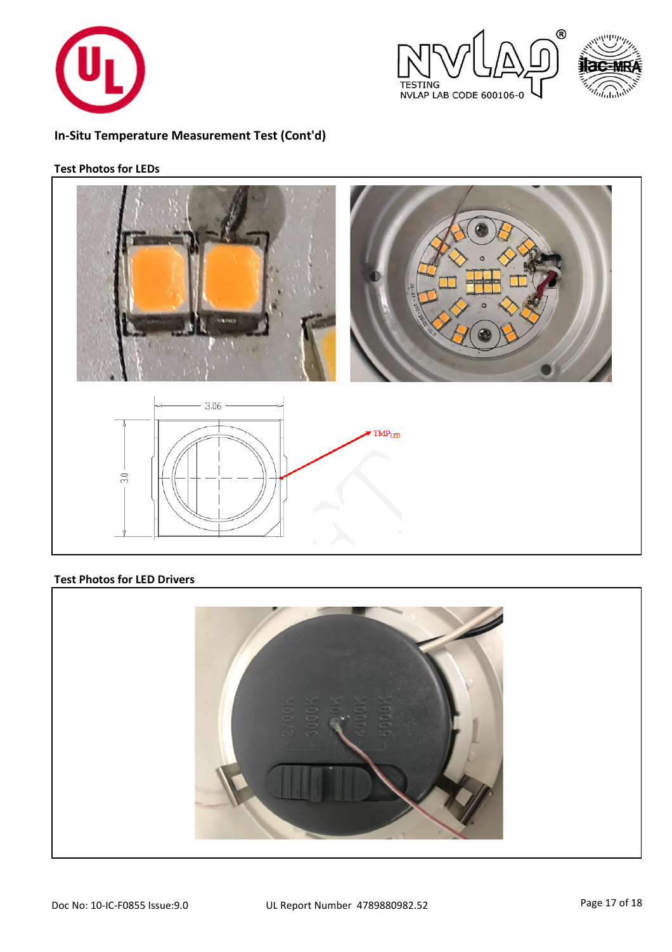![](_page_16_Picture_0.jpeg)

![](_page_16_Picture_1.jpeg)

![](_page_16_Picture_2.jpeg)

# **In-Situ Temperature Measurement Test (Cont'd)**

# **Test Photos for LEDs**

![](_page_16_Picture_5.jpeg)

# **Test Photos for LED Drivers**

![](_page_16_Picture_7.jpeg)